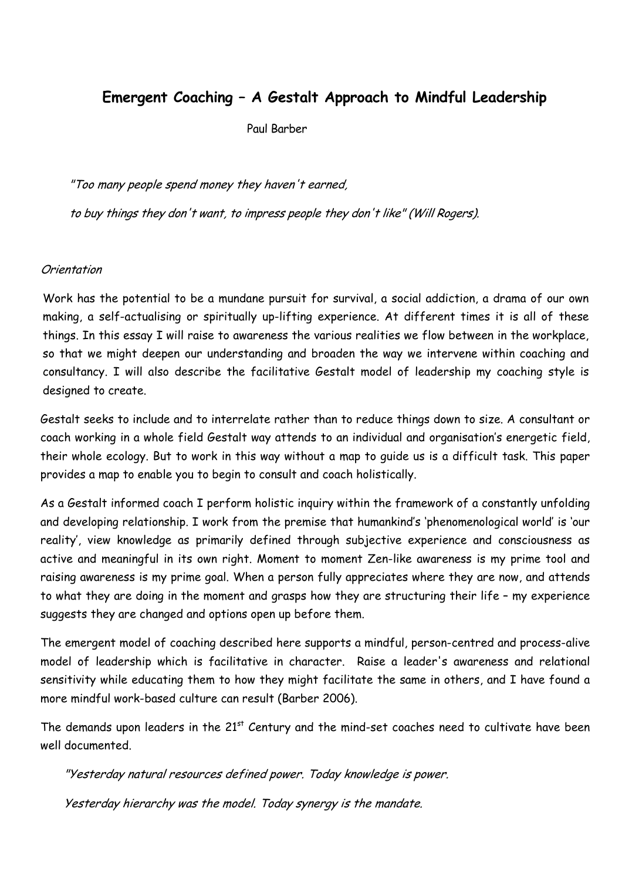# **Emergent Coaching – A Gestalt Approach to Mindful Leadership**

Paul Barber

"Too many people spend money they haven't earned,

to buy things they don't want, to impress people they don't like" (Will Rogers).

## Orientation

Work has the potential to be a mundane pursuit for survival, a social addiction, a drama of our own making, a self-actualising or spiritually up-lifting experience. At different times it is all of these things. In this essay I will raise to awareness the various realities we flow between in the workplace, so that we might deepen our understanding and broaden the way we intervene within coaching and consultancy. I will also describe the facilitative Gestalt model of leadership my coaching style is designed to create.

Gestalt seeks to include and to interrelate rather than to reduce things down to size. A consultant or coach working in a whole field Gestalt way attends to an individual and organisation's energetic field, their whole ecology. But to work in this way without a map to guide us is a difficult task. This paper provides a map to enable you to begin to consult and coach holistically.

As a Gestalt informed coach I perform holistic inquiry within the framework of a constantly unfolding and developing relationship. I work from the premise that humankind's 'phenomenological world' is 'our reality', view knowledge as primarily defined through subjective experience and consciousness as active and meaningful in its own right. Moment to moment Zen-like awareness is my prime tool and raising awareness is my prime goal. When a person fully appreciates where they are now, and attends to what they are doing in the moment and grasps how they are structuring their life – my experience suggests they are changed and options open up before them.

The emergent model of coaching described here supports a mindful, person-centred and process-alive model of leadership which is facilitative in character. Raise a leader's awareness and relational sensitivity while educating them to how they might facilitate the same in others, and I have found a more mindful work-based culture can result (Barber 2006).

The demands upon leaders in the 21<sup>st</sup> Century and the mind-set coaches need to cultivate have been well documented.

"Yesterday natural resources defined power. Today knowledge is power.

Yesterday hierarchy was the model. Today synergy is the mandate.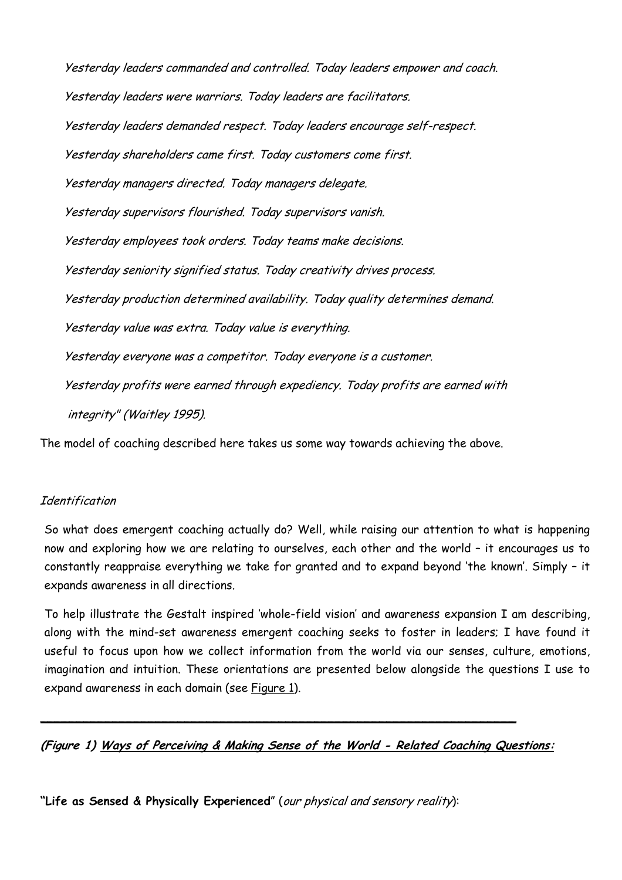Yesterday leaders commanded and controlled. Today leaders empower and coach. Yesterday leaders were warriors. Today leaders are facilitators. Yesterday leaders demanded respect. Today leaders encourage self-respect. Yesterday shareholders came first. Today customers come first. Yesterday managers directed. Today managers delegate. Yesterday supervisors flourished. Today supervisors vanish. Yesterday employees took orders. Today teams make decisions. Yesterday seniority signified status. Today creativity drives process. Yesterday production determined availability. Today quality determines demand. Yesterday value was extra. Today value is everything. Yesterday everyone was a competitor. Today everyone is a customer. Yesterday profits were earned through expediency. Today profits are earned with integrity" (Waitley 1995).

The model of coaching described here takes us some way towards achieving the above.

## **Identification**

So what does emergent coaching actually do? Well, while raising our attention to what is happening now and exploring how we are relating to ourselves, each other and the world – it encourages us to constantly reappraise everything we take for granted and to expand beyond 'the known'. Simply – it expands awareness in all directions.

To help illustrate the Gestalt inspired 'whole-field vision' and awareness expansion I am describing, along with the mind-set awareness emergent coaching seeks to foster in leaders; I have found it useful to focus upon how we collect information from the world via our senses, culture, emotions, imagination and intuition. These orientations are presented below alongside the questions I use to expand awareness in each domain (see Figure 1).

**(Figure 1) Ways of Perceiving & Making Sense of the World - Related Coaching Questions:**

 $\mathcal{L}_\mathcal{L}$  , and the contribution of the contribution of the contribution of the contribution of the contribution of the contribution of the contribution of the contribution of the contribution of the contribution of

**"Life as Sensed & Physically Experienced**" (our physical and sensory reality):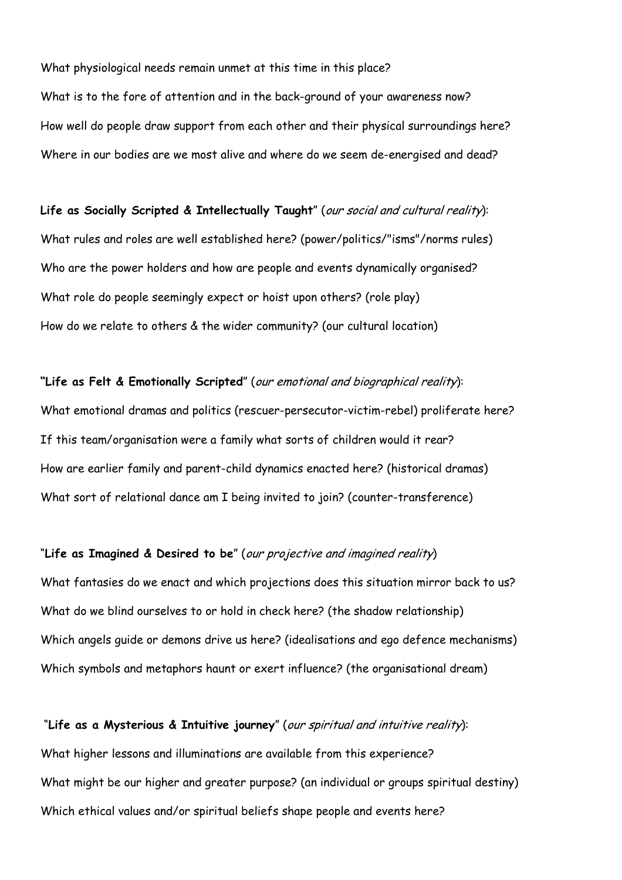What physiological needs remain unmet at this time in this place? What is to the fore of attention and in the back-ground of your awareness now? How well do people draw support from each other and their physical surroundings here? Where in our bodies are we most alive and where do we seem de-energised and dead?

**Life as Socially Scripted & Intellectually Taught**" (our social and cultural reality): What rules and roles are well established here? (power/politics/"isms"/norms rules) Who are the power holders and how are people and events dynamically organised? What role do people seemingly expect or hoist upon others? (role play) How do we relate to others & the wider community? (our cultural location)

**"Life as Felt & Emotionally Scripted**" (our emotional and biographical reality): What emotional dramas and politics (rescuer-persecutor-victim-rebel) proliferate here? If this team/organisation were a family what sorts of children would it rear? How are earlier family and parent-child dynamics enacted here? (historical dramas) What sort of relational dance am I being invited to join? (counter-transference)

#### "**Life as Imagined & Desired to be**" (our projective and imagined reality)

What fantasies do we enact and which projections does this situation mirror back to us? What do we blind ourselves to or hold in check here? (the shadow relationship) Which angels guide or demons drive us here? (idealisations and ego defence mechanisms) Which symbols and metaphors haunt or exert influence? (the organisational dream)

 "**Life as a Mysterious & Intuitive journey**" (our spiritual and intuitive reality): What higher lessons and illuminations are available from this experience? What might be our higher and greater purpose? (an individual or groups spiritual destiny) Which ethical values and/or spiritual beliefs shape people and events here?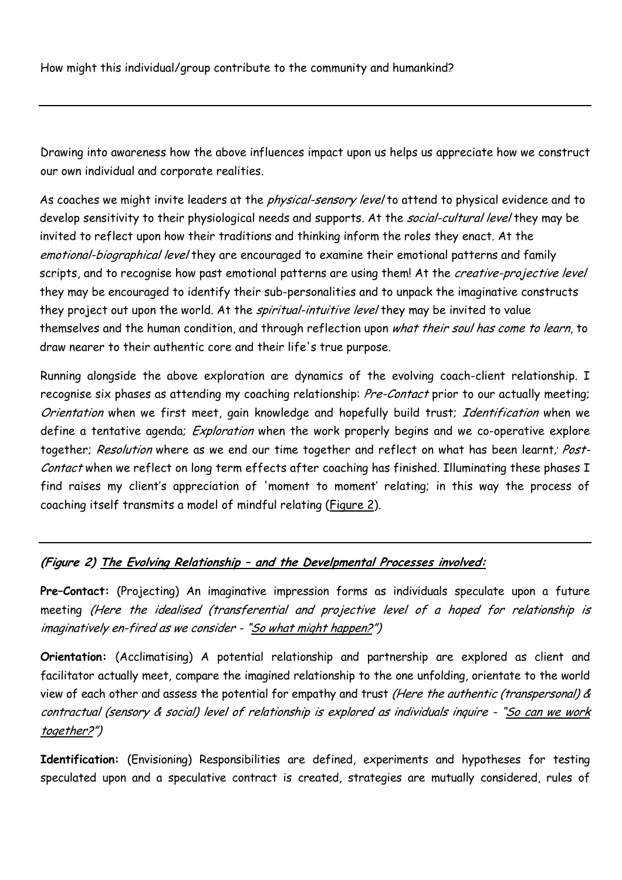How might this individual/group contribute to the community and humankind?

Drawing into awareness how the above influences impact upon us helps us appreciate how we construct our own individual and corporate realities.

As coaches we might invite leaders at the *physical-sensory level* to attend to physical evidence and to develop sensitivity to their physiological needs and supports. At the social-cultural level they may be invited to reflect upon how their traditions and thinking inform the roles they enact. At the emotional-biographical level they are encouraged to examine their emotional patterns and family scripts, and to recognise how past emotional patterns are using them! At the *creative-projective level* they may be encouraged to identify their sub-personalities and to unpack the imaginative constructs they project out upon the world. At the *spiritual-intuitive level* they may be invited to value themselves and the human condition, and through reflection upon what their soul has come to learn, to draw nearer to their authentic core and their life's true purpose.

Running alongside the above exploration are dynamics of the evolving coach-client relationship. I recognise six phases as attending my coaching relationship: Pre-Contact prior to our actually meeting; Orientation when we first meet, gain knowledge and hopefully build trust; Identification when we define a tentative agenda; *Exploration* when the work properly begins and we co-operative explore together; Resolution where as we end our time together and reflect on what has been learnt; Post-Contact when we reflect on long term effects after coaching has finished. Illuminating these phases I find raises my client's appreciation of 'moment to moment' relating; in this way the process of coaching itself transmits a model of mindful relating (Figure 2).

# **(Figure 2) The Evolving Relationship – and the Develpmental Processes involved:**

**Pre–Contact:** (Projecting) An imaginative impression forms as individuals speculate upon a future meeting (Here the idealised (transferential and projective level of a hoped for relationship is imaginatively en-fired as we consider - "So what might happen?")

**Orientation:** (Acclimatising) A potential relationship and partnership are explored as client and facilitator actually meet, compare the imagined relationship to the one unfolding, orientate to the world view of each other and assess the potential for empathy and trust (Here the authentic (transpersonal) & contractual (sensory & social) level of relationship is explored as individuals inquire - "So can we work together?")

**Identification:** (Envisioning) Responsibilities are defined, experiments and hypotheses for testing speculated upon and a speculative contract is created, strategies are mutually considered, rules of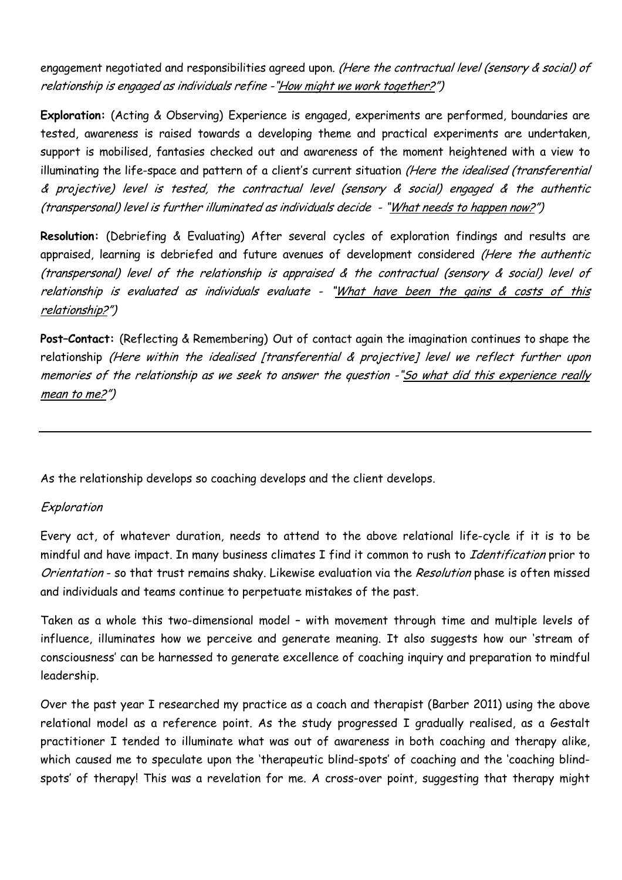engagement negotiated and responsibilities agreed upon. (Here the contractual level (sensory & social) of relationship is engaged as individuals refine -"How might we work together?")

**Exploration:** (Acting & Observing) Experience is engaged, experiments are performed, boundaries are tested, awareness is raised towards a developing theme and practical experiments are undertaken, support is mobilised, fantasies checked out and awareness of the moment heightened with a view to illuminating the life-space and pattern of a client's current situation (Here the idealised (transferential & projective) level is tested, the contractual level (sensory & social) engaged & the authentic (transpersonal) level is further illuminated as individuals decide - "What needs to happen now?")

**Resolution:** (Debriefing & Evaluating) After several cycles of exploration findings and results are appraised, learning is debriefed and future avenues of development considered (Here the authentic (transpersonal) level of the relationship is appraised & the contractual (sensory & social) level of relationship is evaluated as individuals evaluate - "What have been the gains & costs of this relationship?")

**Post–Contact:** (Reflecting & Remembering) Out of contact again the imagination continues to shape the relationship (Here within the idealised [transferential & projective] level we reflect further upon memories of the relationship as we seek to answer the question -"So what did this experience really mean to me?")

As the relationship develops so coaching develops and the client develops.

# Exploration

Every act, of whatever duration, needs to attend to the above relational life-cycle if it is to be mindful and have impact. In many business climates I find it common to rush to Identification prior to Orientation - so that trust remains shaky. Likewise evaluation via the Resolution phase is often missed and individuals and teams continue to perpetuate mistakes of the past.

Taken as a whole this two-dimensional model – with movement through time and multiple levels of influence, illuminates how we perceive and generate meaning. It also suggests how our 'stream of consciousness' can be harnessed to generate excellence of coaching inquiry and preparation to mindful leadership.

Over the past year I researched my practice as a coach and therapist (Barber 2011) using the above relational model as a reference point. As the study progressed I gradually realised, as a Gestalt practitioner I tended to illuminate what was out of awareness in both coaching and therapy alike, which caused me to speculate upon the 'therapeutic blind-spots' of coaching and the 'coaching blindspots' of therapy! This was a revelation for me. A cross-over point, suggesting that therapy might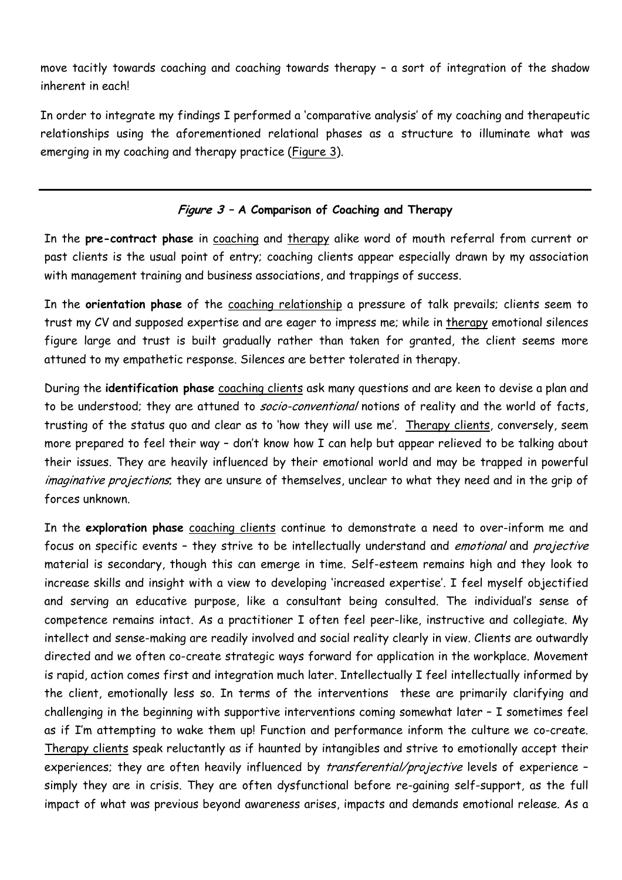move tacitly towards coaching and coaching towards therapy – a sort of integration of the shadow inherent in each!

In order to integrate my findings I performed a 'comparative analysis' of my coaching and therapeutic relationships using the aforementioned relational phases as a structure to illuminate what was emerging in my coaching and therapy practice (Figure 3).

## **Figure 3 – A Comparison of Coaching and Therapy**

In the **pre-contract phase** in coaching and therapy alike word of mouth referral from current or past clients is the usual point of entry; coaching clients appear especially drawn by my association with management training and business associations, and trappings of success.

In the **orientation phase** of the coaching relationship a pressure of talk prevails; clients seem to trust my CV and supposed expertise and are eager to impress me; while in therapy emotional silences figure large and trust is built gradually rather than taken for granted, the client seems more attuned to my empathetic response. Silences are better tolerated in therapy.

During the **identification phase** coaching clients ask many questions and are keen to devise a plan and to be understood; they are attuned to socio-conventional notions of reality and the world of facts, trusting of the status quo and clear as to 'how they will use me'. Therapy clients, conversely, seem more prepared to feel their way – don't know how I can help but appear relieved to be talking about their issues. They are heavily influenced by their emotional world and may be trapped in powerful imaginative projections, they are unsure of themselves, unclear to what they need and in the grip of forces unknown.

In the **exploration phase** coaching clients continue to demonstrate a need to over-inform me and focus on specific events - they strive to be intellectually understand and *emotional* and *projective* material is secondary, though this can emerge in time. Self-esteem remains high and they look to increase skills and insight with a view to developing 'increased expertise'. I feel myself objectified and serving an educative purpose, like a consultant being consulted. The individual's sense of competence remains intact. As a practitioner I often feel peer-like, instructive and collegiate. My intellect and sense-making are readily involved and social reality clearly in view. Clients are outwardly directed and we often co-create strategic ways forward for application in the workplace. Movement is rapid, action comes first and integration much later. Intellectually I feel intellectually informed by the client, emotionally less so. In terms of the interventions these are primarily clarifying and challenging in the beginning with supportive interventions coming somewhat later – I sometimes feel as if I'm attempting to wake them up! Function and performance inform the culture we co-create. Therapy clients speak reluctantly as if haunted by intangibles and strive to emotionally accept their experiences; they are often heavily influenced by *transferential/projective* levels of experience simply they are in crisis. They are often dysfunctional before re-gaining self-support, as the full impact of what was previous beyond awareness arises, impacts and demands emotional release. As a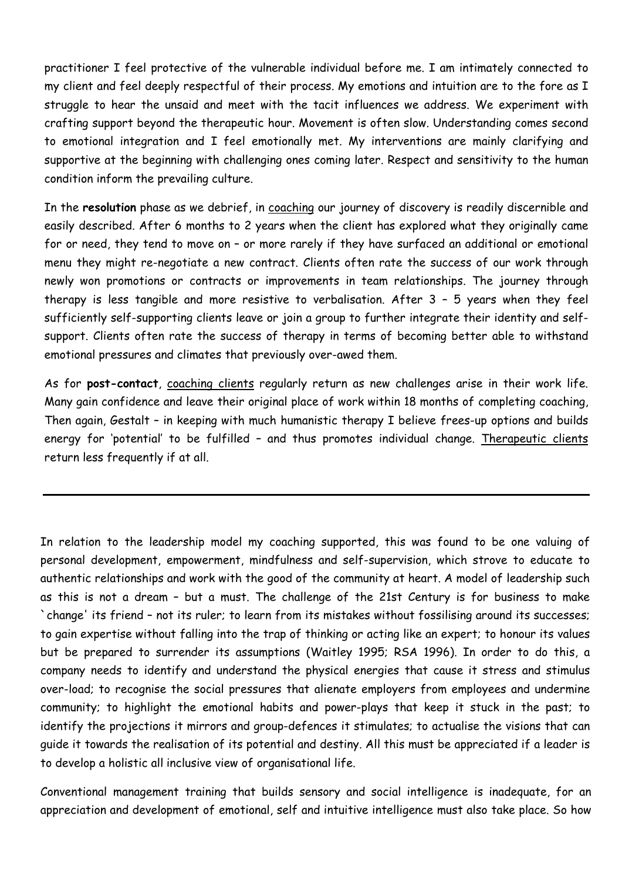practitioner I feel protective of the vulnerable individual before me. I am intimately connected to my client and feel deeply respectful of their process. My emotions and intuition are to the fore as I struggle to hear the unsaid and meet with the tacit influences we address. We experiment with crafting support beyond the therapeutic hour. Movement is often slow. Understanding comes second to emotional integration and I feel emotionally met. My interventions are mainly clarifying and supportive at the beginning with challenging ones coming later. Respect and sensitivity to the human condition inform the prevailing culture.

In the **resolution** phase as we debrief, in coaching our journey of discovery is readily discernible and easily described. After 6 months to 2 years when the client has explored what they originally came for or need, they tend to move on – or more rarely if they have surfaced an additional or emotional menu they might re-negotiate a new contract. Clients often rate the success of our work through newly won promotions or contracts or improvements in team relationships. The journey through therapy is less tangible and more resistive to verbalisation. After 3 – 5 years when they feel sufficiently self-supporting clients leave or join a group to further integrate their identity and selfsupport. Clients often rate the success of therapy in terms of becoming better able to withstand emotional pressures and climates that previously over-awed them.

As for **post-contact**, coaching clients regularly return as new challenges arise in their work life. Many gain confidence and leave their original place of work within 18 months of completing coaching, Then again, Gestalt – in keeping with much humanistic therapy I believe frees-up options and builds energy for 'potential' to be fulfilled - and thus promotes individual change. Therapeutic clients return less frequently if at all.

In relation to the leadership model my coaching supported, this was found to be one valuing of personal development, empowerment, mindfulness and self-supervision, which strove to educate to authentic relationships and work with the good of the community at heart. A model of leadership such as this is not a dream – but a must. The challenge of the 21st Century is for business to make `change' its friend – not its ruler; to learn from its mistakes without fossilising around its successes; to gain expertise without falling into the trap of thinking or acting like an expert; to honour its values but be prepared to surrender its assumptions (Waitley 1995; RSA 1996). In order to do this, a company needs to identify and understand the physical energies that cause it stress and stimulus over-load; to recognise the social pressures that alienate employers from employees and undermine community; to highlight the emotional habits and power-plays that keep it stuck in the past; to identify the projections it mirrors and group-defences it stimulates; to actualise the visions that can guide it towards the realisation of its potential and destiny. All this must be appreciated if a leader is to develop a holistic all inclusive view of organisational life.

Conventional management training that builds sensory and social intelligence is inadequate, for an appreciation and development of emotional, self and intuitive intelligence must also take place. So how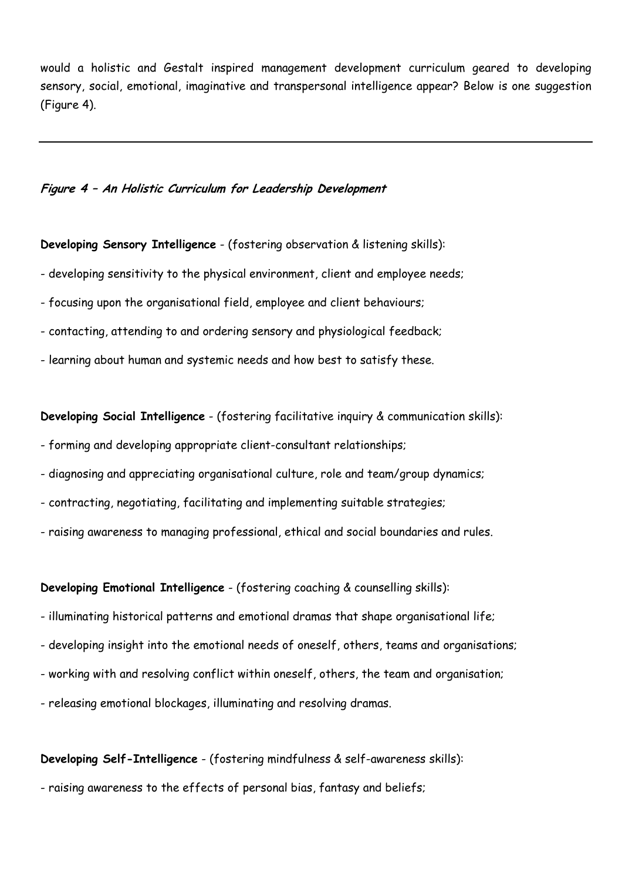would a holistic and Gestalt inspired management development curriculum geared to developing sensory, social, emotional, imaginative and transpersonal intelligence appear? Below is one suggestion (Figure 4).

#### **Figure 4 – An Holistic Curriculum for Leadership Development**

#### **Developing Sensory Intelligence** - (fostering observation & listening skills):

- developing sensitivity to the physical environment, client and employee needs;
- focusing upon the organisational field, employee and client behaviours;
- contacting, attending to and ordering sensory and physiological feedback;
- learning about human and systemic needs and how best to satisfy these.

**Developing Social Intelligence** - (fostering facilitative inquiry & communication skills):

- forming and developing appropriate client-consultant relationships;
- diagnosing and appreciating organisational culture, role and team/group dynamics;
- contracting, negotiating, facilitating and implementing suitable strategies;
- raising awareness to managing professional, ethical and social boundaries and rules.

**Developing Emotional Intelligence** - (fostering coaching & counselling skills):

- illuminating historical patterns and emotional dramas that shape organisational life;
- developing insight into the emotional needs of oneself, others, teams and organisations;
- working with and resolving conflict within oneself, others, the team and organisation;
- releasing emotional blockages, illuminating and resolving dramas.

## **Developing Self-Intelligence** - (fostering mindfulness & self-awareness skills):

- raising awareness to the effects of personal bias, fantasy and beliefs;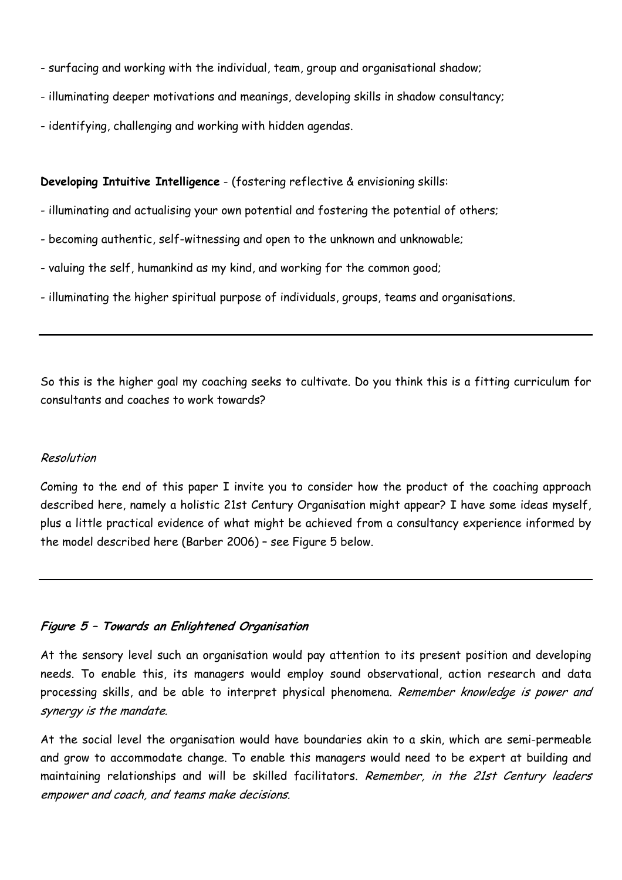- surfacing and working with the individual, team, group and organisational shadow;
- illuminating deeper motivations and meanings, developing skills in shadow consultancy;
- identifying, challenging and working with hidden agendas.

#### **Developing Intuitive Intelligence** - (fostering reflective & envisioning skills:

- illuminating and actualising your own potential and fostering the potential of others;
- becoming authentic, self-witnessing and open to the unknown and unknowable;
- valuing the self, humankind as my kind, and working for the common good;
- illuminating the higher spiritual purpose of individuals, groups, teams and organisations.

So this is the higher goal my coaching seeks to cultivate. Do you think this is a fitting curriculum for consultants and coaches to work towards?

#### Resolution

Coming to the end of this paper I invite you to consider how the product of the coaching approach described here, namely a holistic 21st Century Organisation might appear? I have some ideas myself, plus a little practical evidence of what might be achieved from a consultancy experience informed by the model described here (Barber 2006) – see Figure 5 below.

#### **Figure 5 – Towards an Enlightened Organisation**

At the sensory level such an organisation would pay attention to its present position and developing needs. To enable this, its managers would employ sound observational, action research and data processing skills, and be able to interpret physical phenomena. Remember knowledge is power and synergy is the mandate.

At the social level the organisation would have boundaries akin to a skin, which are semi-permeable and grow to accommodate change. To enable this managers would need to be expert at building and maintaining relationships and will be skilled facilitators. Remember, in the 21st Century leaders empower and coach, and teams make decisions.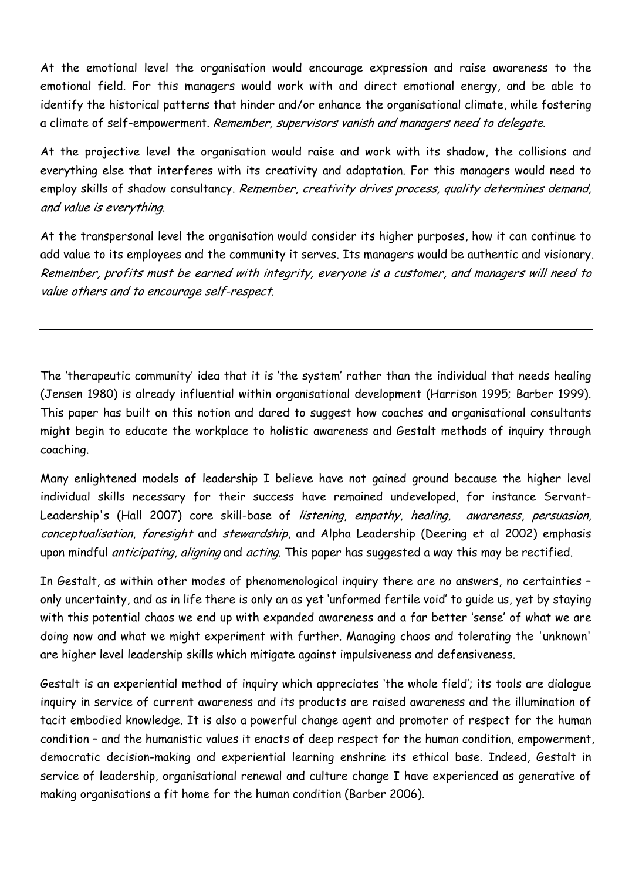At the emotional level the organisation would encourage expression and raise awareness to the emotional field. For this managers would work with and direct emotional energy, and be able to identify the historical patterns that hinder and/or enhance the organisational climate, while fostering a climate of self-empowerment. Remember, supervisors vanish and managers need to delegate.

At the projective level the organisation would raise and work with its shadow, the collisions and everything else that interferes with its creativity and adaptation. For this managers would need to employ skills of shadow consultancy. Remember, creativity drives process, quality determines demand, and value is everything.

At the transpersonal level the organisation would consider its higher purposes, how it can continue to add value to its employees and the community it serves. Its managers would be authentic and visionary. Remember, profits must be earned with integrity, everyone is a customer, and managers will need to value others and to encourage self-respect.

The 'therapeutic community' idea that it is 'the system' rather than the individual that needs healing (Jensen 1980) is already influential within organisational development (Harrison 1995; Barber 1999). This paper has built on this notion and dared to suggest how coaches and organisational consultants might begin to educate the workplace to holistic awareness and Gestalt methods of inquiry through coaching.

Many enlightened models of leadership I believe have not gained ground because the higher level individual skills necessary for their success have remained undeveloped, for instance Servant-Leadership's (Hall 2007) core skill-base of listening, empathy, healing, awareness, persuasion, conceptualisation, foresight and stewardship, and Alpha Leadership (Deering et al 2002) emphasis upon mindful *anticipating, aligning* and *acting*. This paper has suggested a way this may be rectified.

In Gestalt, as within other modes of phenomenological inquiry there are no answers, no certainties – only uncertainty, and as in life there is only an as yet 'unformed fertile void' to guide us, yet by staying with this potential chaos we end up with expanded awareness and a far better 'sense' of what we are doing now and what we might experiment with further. Managing chaos and tolerating the 'unknown' are higher level leadership skills which mitigate against impulsiveness and defensiveness.

Gestalt is an experiential method of inquiry which appreciates 'the whole field'; its tools are dialogue inquiry in service of current awareness and its products are raised awareness and the illumination of tacit embodied knowledge. It is also a powerful change agent and promoter of respect for the human condition – and the humanistic values it enacts of deep respect for the human condition, empowerment, democratic decision-making and experiential learning enshrine its ethical base. Indeed, Gestalt in service of leadership, organisational renewal and culture change I have experienced as generative of making organisations a fit home for the human condition (Barber 2006).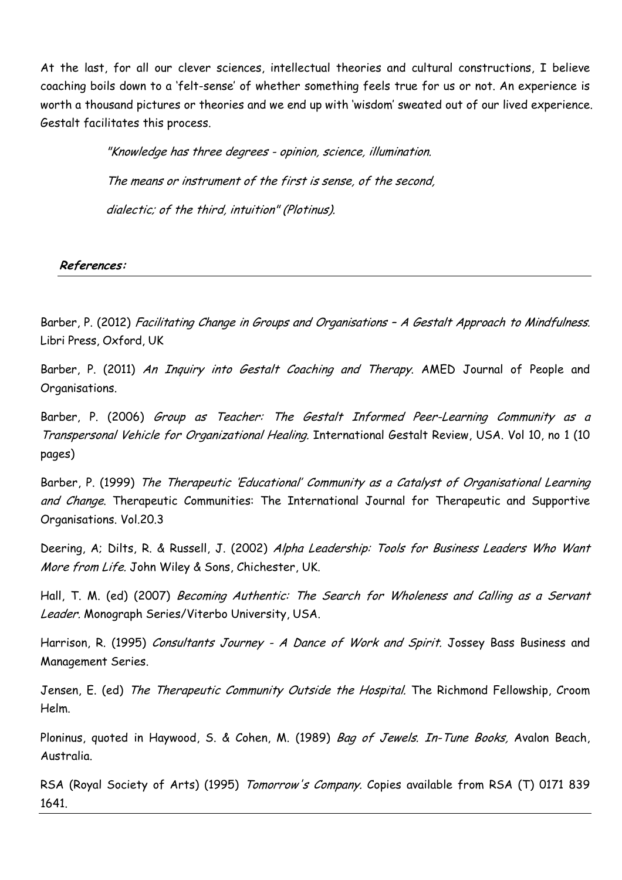At the last, for all our clever sciences, intellectual theories and cultural constructions, I believe coaching boils down to a 'felt-sense' of whether something feels true for us or not. An experience is worth a thousand pictures or theories and we end up with 'wisdom' sweated out of our lived experience. Gestalt facilitates this process.

> "Knowledge has three degrees - opinion, science, illumination. The means or instrument of the first is sense, of the second, dialectic; of the third, intuition" (Plotinus).

## **References:**

Barber, P. (2012) Facilitating Change in Groups and Organisations - A Gestalt Approach to Mindfulness. Libri Press, Oxford, UK

Barber, P. (2011) An Inquiry into Gestalt Coaching and Therapy. AMED Journal of People and Organisations.

Barber, P. (2006) Group as Teacher: The Gestalt Informed Peer-Learning Community as a Transpersonal Vehicle for Organizational Healing. International Gestalt Review, USA. Vol 10, no 1 (10 pages)

Barber, P. (1999) The Therapeutic 'Educational' Community as a Catalyst of Organisational Learning and Change. Therapeutic Communities: The International Journal for Therapeutic and Supportive Organisations. Vol.20.3

Deering, A; Dilts, R. & Russell, J. (2002) Alpha Leadership: Tools for Business Leaders Who Want More from Life. John Wiley & Sons, Chichester, UK.

Hall, T. M. (ed) (2007) Becoming Authentic: The Search for Wholeness and Calling as a Servant Leader. Monograph Series/Viterbo University, USA.

Harrison, R. (1995) Consultants Journey - A Dance of Work and Spirit. Jossey Bass Business and Management Series.

Jensen, E. (ed) The Therapeutic Community Outside the Hospital. The Richmond Fellowship, Croom Helm.

Ploninus, quoted in Haywood, S. & Cohen, M. (1989) Bag of Jewels. In-Tune Books, Avalon Beach, Australia.

RSA (Royal Society of Arts) (1995) Tomorrow's Company. Copies available from RSA (T) 0171 839 1641.